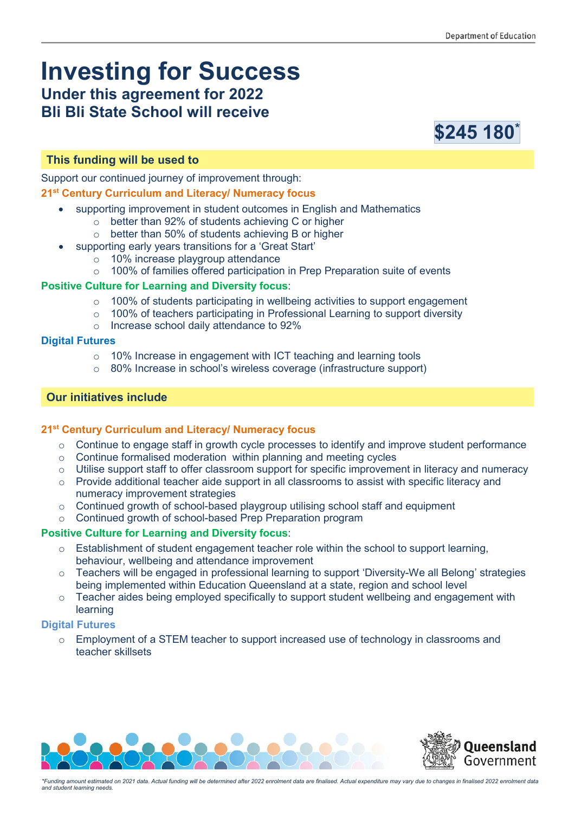# **Investing for Success Under this agreement for 2022**

## **Bli Bli State School will receive**



#### **This funding will be used to**

Support our continued journey of improvement through:

#### **21st Century Curriculum and Literacy/ Numeracy focus**

- supporting improvement in student outcomes in English and Mathematics
	- o better than 92% of students achieving C or higher
	- o better than 50% of students achieving B or higher
- supporting early years transitions for a 'Great Start'
	- o 10% increase playgroup attendance
	- o 100% of families offered participation in Prep Preparation suite of events

#### **Positive Culture for Learning and Diversity focus**:

- $\circ$  100% of students participating in wellbeing activities to support engagement
- o 100% of teachers participating in Professional Learning to support diversity
- o Increase school daily attendance to 92%

#### **Digital Futures**

- o 10% Increase in engagement with ICT teaching and learning tools
- o 80% Increase in school's wireless coverage (infrastructure support)

#### **Our initiatives include**

#### **21st Century Curriculum and Literacy/ Numeracy focus**

- o Continue to engage staff in growth cycle processes to identify and improve student performance
- o Continue formalised moderation within planning and meeting cycles
- $\circ$  Utilise support staff to offer classroom support for specific improvement in literacy and numeracy
- o Provide additional teacher aide support in all classrooms to assist with specific literacy and numeracy improvement strategies
- o Continued growth of school-based playgroup utilising school staff and equipment
- o Continued growth of school-based Prep Preparation program

#### **Positive Culture for Learning and Diversity focus**:

- o Establishment of student engagement teacher role within the school to support learning, behaviour, wellbeing and attendance improvement
- o Teachers will be engaged in professional learning to support 'Diversity-We all Belong' strategies being implemented within Education Queensland at a state, region and school level
- $\circ$  Teacher aides being employed specifically to support student wellbeing and engagement with learning

#### **Digital Futures**

 $\circ$  Employment of a STEM teacher to support increased use of technology in classrooms and teacher skillsets